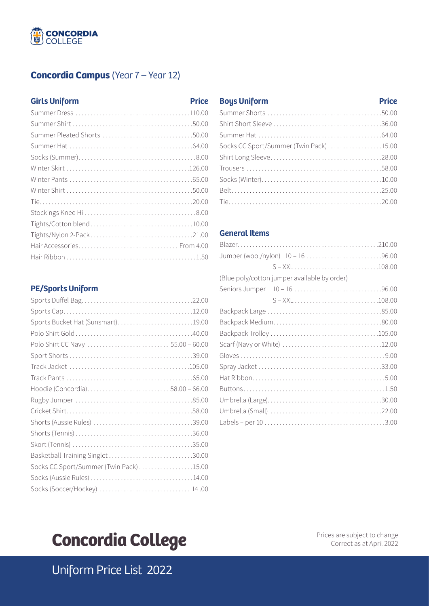# **CONCORDIA**<br>COLLEGE

### **Concordia Campus** (Year 7 – Year 12)

#### **Girls Uniform**

#### **PE/Sports Uniform**

| Sports Bucket Hat (Sunsmart)19.00      |  |
|----------------------------------------|--|
|                                        |  |
| Polo Shirt CC Navy  55.00 - 60.00      |  |
|                                        |  |
|                                        |  |
|                                        |  |
| Hoodie (Concordia) 58.00 – 66.00       |  |
|                                        |  |
|                                        |  |
|                                        |  |
|                                        |  |
|                                        |  |
|                                        |  |
| Socks CC Sport/Summer (Twin Pack)15.00 |  |
|                                        |  |
| Socks (Soccer/Hockey)  14.00           |  |

#### **Boys Uniform Price**

| Socks CC Sport/Summer (Twin Pack)15.00 |  |
|----------------------------------------|--|
|                                        |  |
|                                        |  |
|                                        |  |
|                                        |  |
|                                        |  |
|                                        |  |

#### **General Items**

| Jumper (wool/nylon) 10 - 16 96.00            |  |
|----------------------------------------------|--|
|                                              |  |
| (Blue poly/cotton jumper available by order) |  |
|                                              |  |
|                                              |  |
|                                              |  |
|                                              |  |
|                                              |  |
|                                              |  |
|                                              |  |
|                                              |  |
|                                              |  |
|                                              |  |
|                                              |  |
|                                              |  |
|                                              |  |
|                                              |  |

# **Concordia College**

Prices are subject to change Correct as at April 2022

Uniform Price List 2022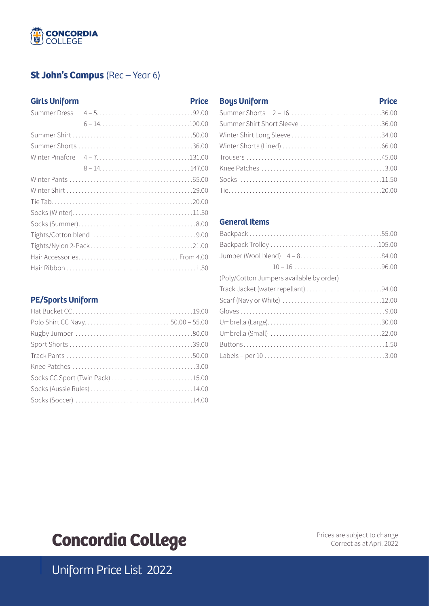# **CONCORDIA**<br>College

## **St John's Campus** (Rec – Year 6)

#### **Girls Uniform**

#### **PE/Sports Uniform**

| Socks CC Sport (Twin Pack) 15.00 |
|----------------------------------|
|                                  |
|                                  |
|                                  |

#### **Boys Uniform Price**

| Summer Shorts 2 - 16 36.00      |  |
|---------------------------------|--|
| Summer Shirt Short Sleeve 36.00 |  |
| Winter Shirt Long Sleeve 34.00  |  |
|                                 |  |
|                                 |  |
|                                 |  |
|                                 |  |
|                                 |  |

#### **General Items**

| Jumper (Wool blend) 4 - 884.00           |  |
|------------------------------------------|--|
| $10 - 16$ 96.00                          |  |
| (Poly/Cotton Jumpers available by order) |  |
| Track Jacket (water repellant) 94.00     |  |
|                                          |  |
|                                          |  |
|                                          |  |
|                                          |  |
|                                          |  |
|                                          |  |
|                                          |  |

# **Concordia College**

Prices are subject to change Correct as at April 2022

Uniform Price List 2022